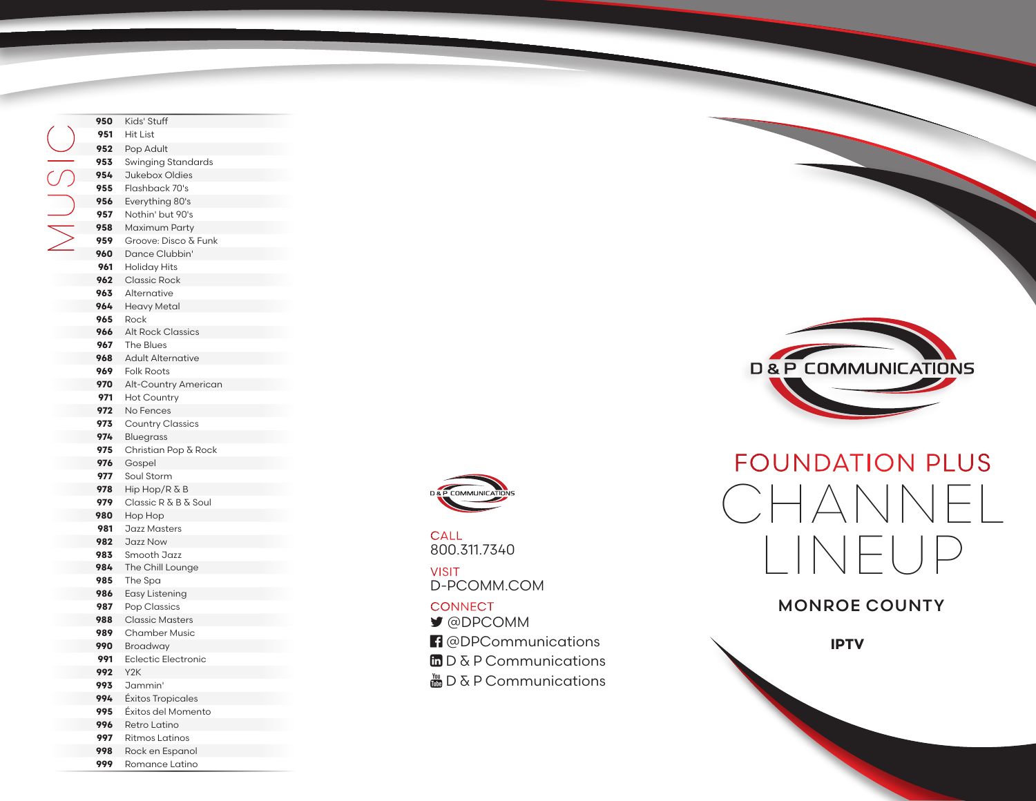Kids' Stuff Hit List Pop Adult Swinging Standards Jukebox Oldies Flashback 70's Everything 80's Nothin' but 90's Maximum Party Groove: Disco & Funk Dance Clubbin' Holiday Hits Classic Rock Alternative Heavy Metal Rock Alt Rock Classics The Blues Adult Alternative Folk Roots Alt-Country American Hot Country No Fences Country Classics Bluegrass Christian Pop & Rock Gospel Soul Storm Hip Hop/R & B Classic R & B & Soul Hop Hop Jazz Masters Jazz Now Smooth Jazz The Chill Lounge The Spa Easy Listening Pop Classics Classic Masters Chamber Music Broadway Eclectic Electronic Y2K Jammin' Éxitos Tropicales Éxitos del Momento Retro Latino Ritmos Latinos Rock en Espanol MUSIC

Romance Latino



800.311.7340 **CALL** 

D-PCOMM.COM VISIT

## **CONNECT**

- @DPCOMM
- <sup>1</sup> @DPCommunications
- $\Box$  D & P Communications
- $\frac{M_{\text{min}}}{M_{\text{min}}}$  D & P Communications





## MONROE COUNTY

**IPTV**